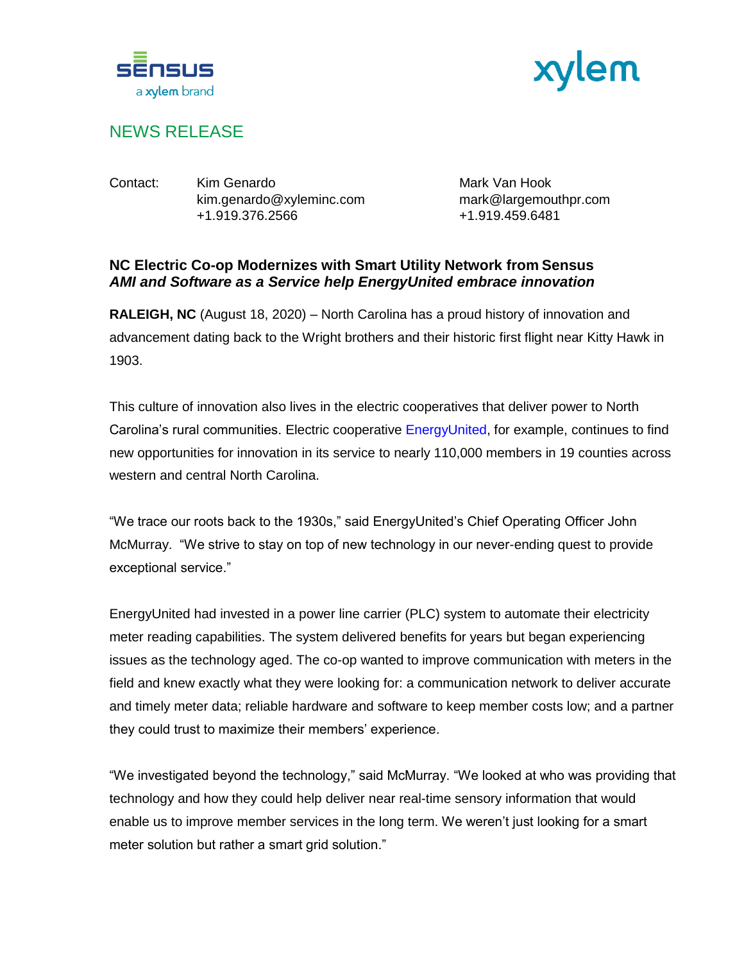



## NEWS RELEASE

Contact: Kim Genardo Mark Van Hook kim.genardo@xyleminc.com mark@largemouthpr.com +1.919.376.2566 +1.919.459.6481

## **NC Electric Co-op Modernizes with Smart Utility Network from Sensus** *AMI and Software as a Service help EnergyUnited embrace innovation*

**RALEIGH, NC** (August 18, 2020) – North Carolina has a proud history of innovation and advancement dating back to the Wright brothers and their historic first flight near Kitty Hawk in 1903.

This culture of innovation also lives in the electric cooperatives that deliver power to North Carolina's rural communities. Electric cooperative [EnergyUnited,](https://www.energyunited.com/electric/) for example, continues to find new opportunities for innovation in its service to nearly 110,000 members in 19 counties across western and central North Carolina.

"We trace our roots back to the 1930s," said EnergyUnited's Chief Operating Officer John McMurray. "We strive to stay on top of new technology in our never-ending quest to provide exceptional service."

EnergyUnited had invested in a power line carrier (PLC) system to automate their electricity meter reading capabilities. The system delivered benefits for years but began experiencing issues as the technology aged. The co-op wanted to improve communication with meters in the field and knew exactly what they were looking for: a communication network to deliver accurate and timely meter data; reliable hardware and software to keep member costs low; and a partner they could trust to maximize their members' experience.

"We investigated beyond the technology," said McMurray. "We looked at who was providing that technology and how they could help deliver near real-time sensory information that would enable us to improve member services in the long term. We weren't just looking for a smart meter solution but rather a smart grid solution."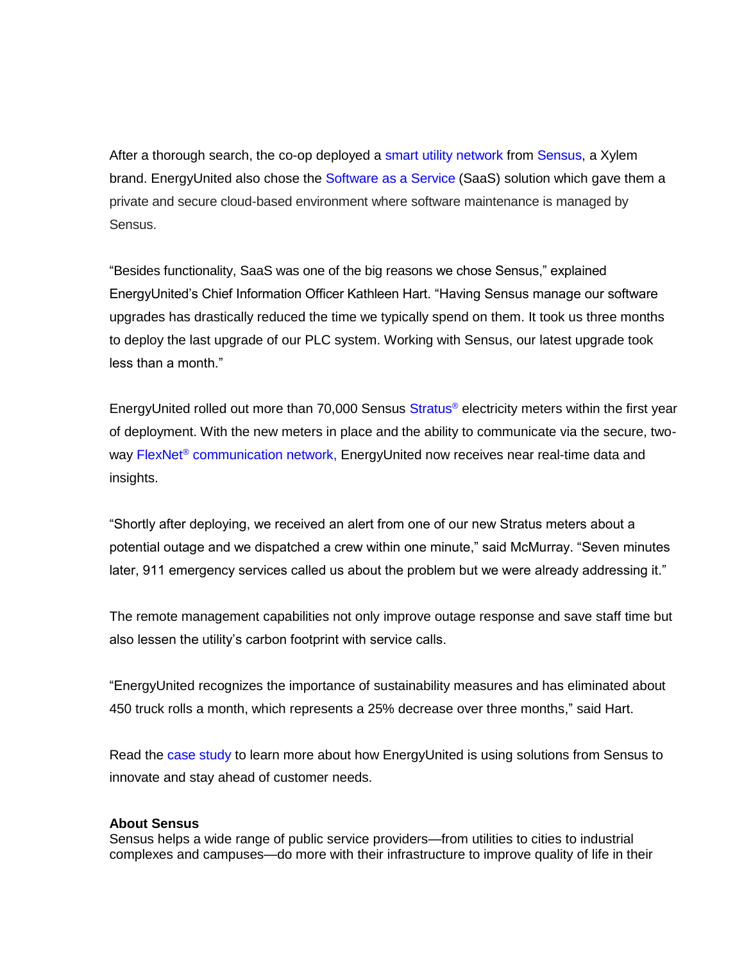After a thorough search, the co-op deployed a [smart utility network](https://sensus.com/solutions/power-line-carrier-plc-migration/) from [Sensus,](https://sensus.com/) a Xylem brand. EnergyUnited also chose the [Software as a Service](https://sensus.com/services/managed-services/software-as-a-service/) (SaaS) solution which gave them a private and secure cloud-based environment where software maintenance is managed by Sensus.

"Besides functionality, SaaS was one of the big reasons we chose Sensus," explained EnergyUnited's Chief Information Officer Kathleen Hart. "Having Sensus manage our software upgrades has drastically reduced the time we typically spend on them. It took us three months to deploy the last upgrade of our PLC system. Working with Sensus, our latest upgrade took less than a month."

EnergyUnited rolled out more than 70,000 Sensus [Stratus](https://sensus.com/products/stratus/)<sup>®</sup> electricity meters within the first year of deployment. With the new meters in place and the ability to communicate via the secure, twoway FlexNet<sup>®</sup> [communication network,](https://sensus.com/communication-networks/sensus-technologies/flexnet-north-america/) EnergyUnited now receives near real-time data and insights.

"Shortly after deploying, we received an alert from one of our new Stratus meters about a potential outage and we dispatched a crew within one minute," said McMurray. "Seven minutes later, 911 emergency services called us about the problem but we were already addressing it."

The remote management capabilities not only improve outage response and save staff time but also lessen the utility's carbon footprint with service calls.

"EnergyUnited recognizes the importance of sustainability measures and has eliminated about 450 truck rolls a month, which represents a 25% decrease over three months," said Hart.

Read the [case study](https://sensus.com/resources/case-studies/north-carolina-electric-co-op-modernizes-grid-infrastructure-with-sensus/) to learn more about how EnergyUnited is using solutions from Sensus to innovate and stay ahead of customer needs.

## **About Sensus**

Sensus helps a wide range of public service providers—from utilities to cities to industrial complexes and campuses—do more with their infrastructure to improve quality of life in their